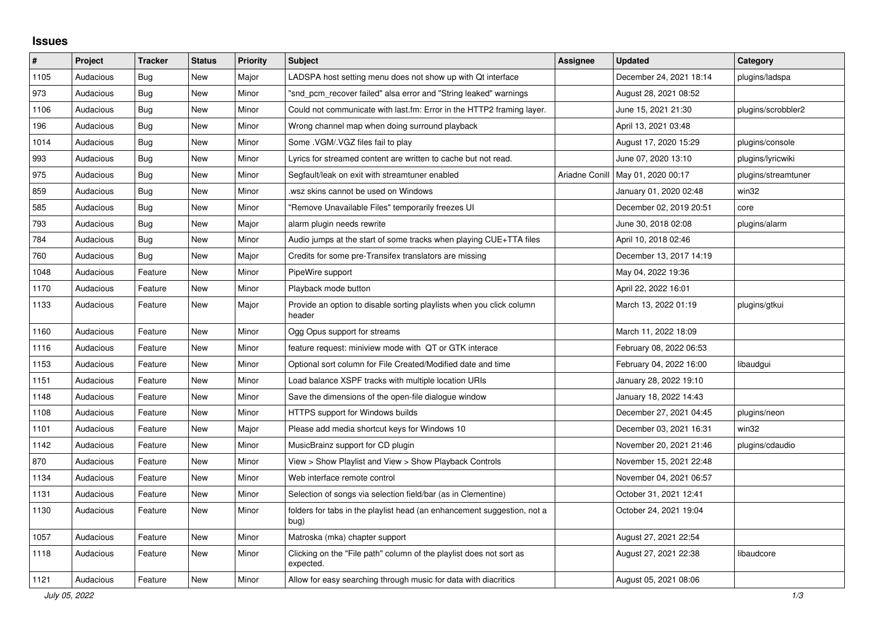## **Issues**

| $\#$ | Project   | <b>Tracker</b> | <b>Status</b> | <b>Priority</b> | <b>Subject</b>                                                                   | <b>Assignee</b> | <b>Updated</b>                      | Category            |
|------|-----------|----------------|---------------|-----------------|----------------------------------------------------------------------------------|-----------------|-------------------------------------|---------------------|
| 1105 | Audacious | <b>Bug</b>     | <b>New</b>    | Major           | LADSPA host setting menu does not show up with Qt interface                      |                 | December 24, 2021 18:14             | plugins/ladspa      |
| 973  | Audacious | Bug            | <b>New</b>    | Minor           | "snd pcm recover failed" alsa error and "String leaked" warnings                 |                 | August 28, 2021 08:52               |                     |
| 1106 | Audacious | Bug            | <b>New</b>    | Minor           | Could not communicate with last.fm: Error in the HTTP2 framing layer.            |                 | June 15, 2021 21:30                 | plugins/scrobbler2  |
| 196  | Audacious | Bug            | <b>New</b>    | Minor           | Wrong channel map when doing surround playback                                   |                 | April 13, 2021 03:48                |                     |
| 1014 | Audacious | <b>Bug</b>     | <b>New</b>    | Minor           | Some .VGM/.VGZ files fail to play                                                |                 | August 17, 2020 15:29               | plugins/console     |
| 993  | Audacious | Bug            | <b>New</b>    | Minor           | Lyrics for streamed content are written to cache but not read.                   |                 | June 07, 2020 13:10                 | plugins/lyricwiki   |
| 975  | Audacious | <b>Bug</b>     | <b>New</b>    | Minor           | Segfault/leak on exit with streamtuner enabled                                   |                 | Ariadne Conill   May 01, 2020 00:17 | plugins/streamtuner |
| 859  | Audacious | <b>Bug</b>     | <b>New</b>    | Minor           | wsz skins cannot be used on Windows                                              |                 | January 01, 2020 02:48              | win32               |
| 585  | Audacious | <b>Bug</b>     | <b>New</b>    | Minor           | "Remove Unavailable Files" temporarily freezes UI                                |                 | December 02, 2019 20:51             | core                |
| 793  | Audacious | Bug            | <b>New</b>    | Major           | alarm plugin needs rewrite                                                       |                 | June 30, 2018 02:08                 | plugins/alarm       |
| 784  | Audacious | Bug            | <b>New</b>    | Minor           | Audio jumps at the start of some tracks when playing CUE+TTA files               |                 | April 10, 2018 02:46                |                     |
| 760  | Audacious | Bug            | <b>New</b>    | Major           | Credits for some pre-Transifex translators are missing                           |                 | December 13, 2017 14:19             |                     |
| 1048 | Audacious | Feature        | <b>New</b>    | Minor           | PipeWire support                                                                 |                 | May 04, 2022 19:36                  |                     |
| 1170 | Audacious | Feature        | New           | Minor           | Playback mode button                                                             |                 | April 22, 2022 16:01                |                     |
| 1133 | Audacious | Feature        | New           | Major           | Provide an option to disable sorting playlists when you click column<br>header   |                 | March 13, 2022 01:19                | plugins/gtkui       |
| 1160 | Audacious | Feature        | New           | Minor           | Ogg Opus support for streams                                                     |                 | March 11, 2022 18:09                |                     |
| 1116 | Audacious | Feature        | <b>New</b>    | Minor           | feature request: miniview mode with QT or GTK interace                           |                 | February 08, 2022 06:53             |                     |
| 1153 | Audacious | Feature        | <b>New</b>    | Minor           | Optional sort column for File Created/Modified date and time                     |                 | February 04, 2022 16:00             | libaudgui           |
| 1151 | Audacious | Feature        | <b>New</b>    | Minor           | Load balance XSPF tracks with multiple location URIs                             |                 | January 28, 2022 19:10              |                     |
| 1148 | Audacious | Feature        | New           | Minor           | Save the dimensions of the open-file dialogue window                             |                 | January 18, 2022 14:43              |                     |
| 1108 | Audacious | Feature        | <b>New</b>    | Minor           | HTTPS support for Windows builds                                                 |                 | December 27, 2021 04:45             | plugins/neon        |
| 1101 | Audacious | Feature        | <b>New</b>    | Major           | Please add media shortcut keys for Windows 10                                    |                 | December 03, 2021 16:31             | win32               |
| 1142 | Audacious | Feature        | New           | Minor           | MusicBrainz support for CD plugin                                                |                 | November 20, 2021 21:46             | plugins/cdaudio     |
| 870  | Audacious | Feature        | <b>New</b>    | Minor           | View > Show Playlist and View > Show Playback Controls                           |                 | November 15, 2021 22:48             |                     |
| 1134 | Audacious | Feature        | <b>New</b>    | Minor           | Web interface remote control                                                     |                 | November 04, 2021 06:57             |                     |
| 1131 | Audacious | Feature        | <b>New</b>    | Minor           | Selection of songs via selection field/bar (as in Clementine)                    |                 | October 31, 2021 12:41              |                     |
| 1130 | Audacious | Feature        | New           | Minor           | folders for tabs in the playlist head (an enhancement suggestion, not a<br>bug)  |                 | October 24, 2021 19:04              |                     |
| 1057 | Audacious | Feature        | New           | Minor           | Matroska (mka) chapter support                                                   |                 | August 27, 2021 22:54               |                     |
| 1118 | Audacious | Feature        | New           | Minor           | Clicking on the "File path" column of the playlist does not sort as<br>expected. |                 | August 27, 2021 22:38               | libaudcore          |
| 1121 | Audacious | Feature        | <b>New</b>    | Minor           | Allow for easy searching through music for data with diacritics                  |                 | August 05, 2021 08:06               |                     |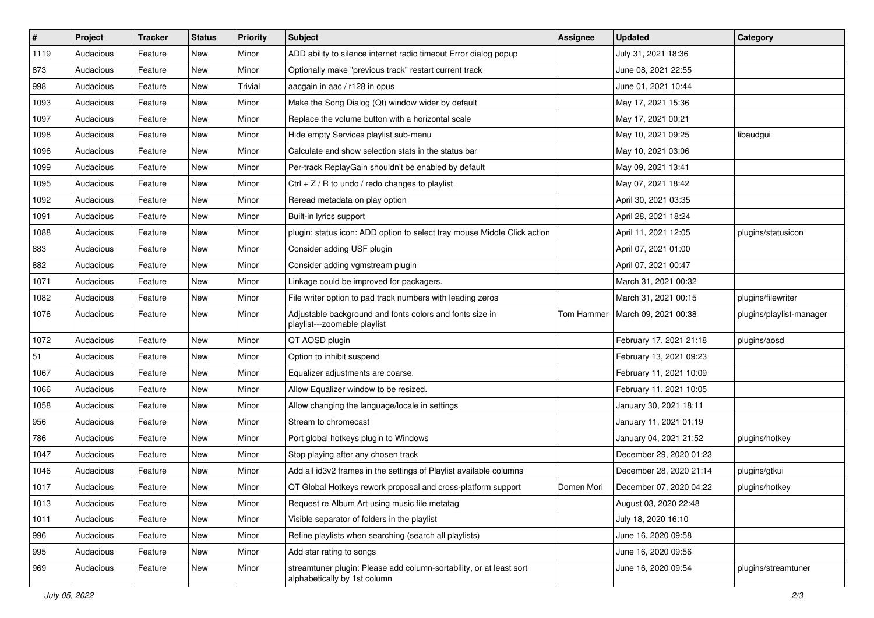| $\pmb{\#}$ | Project   | <b>Tracker</b> | <b>Status</b> | <b>Priority</b> | <b>Subject</b>                                                                                      | <b>Assignee</b> | <b>Updated</b>          | Category                 |
|------------|-----------|----------------|---------------|-----------------|-----------------------------------------------------------------------------------------------------|-----------------|-------------------------|--------------------------|
| 1119       | Audacious | Feature        | New           | Minor           | ADD ability to silence internet radio timeout Error dialog popup                                    |                 | July 31, 2021 18:36     |                          |
| 873        | Audacious | Feature        | New           | Minor           | Optionally make "previous track" restart current track                                              |                 | June 08, 2021 22:55     |                          |
| 998        | Audacious | Feature        | New           | Trivial         | aacgain in aac / r128 in opus                                                                       |                 | June 01, 2021 10:44     |                          |
| 1093       | Audacious | Feature        | New           | Minor           | Make the Song Dialog (Qt) window wider by default                                                   |                 | May 17, 2021 15:36      |                          |
| 1097       | Audacious | Feature        | New           | Minor           | Replace the volume button with a horizontal scale                                                   |                 | May 17, 2021 00:21      |                          |
| 1098       | Audacious | Feature        | New           | Minor           | Hide empty Services playlist sub-menu                                                               |                 | May 10, 2021 09:25      | libaudgui                |
| 1096       | Audacious | Feature        | New           | Minor           | Calculate and show selection stats in the status bar                                                |                 | May 10, 2021 03:06      |                          |
| 1099       | Audacious | Feature        | New           | Minor           | Per-track ReplayGain shouldn't be enabled by default                                                |                 | May 09, 2021 13:41      |                          |
| 1095       | Audacious | Feature        | New           | Minor           | Ctrl $+$ Z / R to undo / redo changes to playlist                                                   |                 | May 07, 2021 18:42      |                          |
| 1092       | Audacious | Feature        | New           | Minor           | Reread metadata on play option                                                                      |                 | April 30, 2021 03:35    |                          |
| 1091       | Audacious | Feature        | New           | Minor           | Built-in lyrics support                                                                             |                 | April 28, 2021 18:24    |                          |
| 1088       | Audacious | Feature        | New           | Minor           | plugin: status icon: ADD option to select tray mouse Middle Click action                            |                 | April 11, 2021 12:05    | plugins/statusicon       |
| 883        | Audacious | Feature        | New           | Minor           | Consider adding USF plugin                                                                          |                 | April 07, 2021 01:00    |                          |
| 882        | Audacious | Feature        | New           | Minor           | Consider adding vgmstream plugin                                                                    |                 | April 07, 2021 00:47    |                          |
| 1071       | Audacious | Feature        | New           | Minor           | Linkage could be improved for packagers.                                                            |                 | March 31, 2021 00:32    |                          |
| 1082       | Audacious | Feature        | New           | Minor           | File writer option to pad track numbers with leading zeros                                          |                 | March 31, 2021 00:15    | plugins/filewriter       |
| 1076       | Audacious | Feature        | New           | Minor           | Adjustable background and fonts colors and fonts size in<br>playlist---zoomable playlist            | Tom Hammer      | March 09, 2021 00:38    | plugins/playlist-manager |
| 1072       | Audacious | Feature        | New           | Minor           | QT AOSD plugin                                                                                      |                 | February 17, 2021 21:18 | plugins/aosd             |
| 51         | Audacious | Feature        | New           | Minor           | Option to inhibit suspend                                                                           |                 | February 13, 2021 09:23 |                          |
| 1067       | Audacious | Feature        | New           | Minor           | Equalizer adjustments are coarse.                                                                   |                 | February 11, 2021 10:09 |                          |
| 1066       | Audacious | Feature        | New           | Minor           | Allow Equalizer window to be resized.                                                               |                 | February 11, 2021 10:05 |                          |
| 1058       | Audacious | Feature        | New           | Minor           | Allow changing the language/locale in settings                                                      |                 | January 30, 2021 18:11  |                          |
| 956        | Audacious | Feature        | New           | Minor           | Stream to chromecast                                                                                |                 | January 11, 2021 01:19  |                          |
| 786        | Audacious | Feature        | New           | Minor           | Port global hotkeys plugin to Windows                                                               |                 | January 04, 2021 21:52  | plugins/hotkey           |
| 1047       | Audacious | Feature        | New           | Minor           | Stop playing after any chosen track                                                                 |                 | December 29, 2020 01:23 |                          |
| 1046       | Audacious | Feature        | New           | Minor           | Add all id3v2 frames in the settings of Playlist available columns                                  |                 | December 28, 2020 21:14 | plugins/gtkui            |
| 1017       | Audacious | Feature        | New           | Minor           | QT Global Hotkeys rework proposal and cross-platform support                                        | Domen Mori      | December 07, 2020 04:22 | plugins/hotkey           |
| 1013       | Audacious | Feature        | New           | Minor           | Request re Album Art using music file metatag                                                       |                 | August 03, 2020 22:48   |                          |
| 1011       | Audacious | Feature        | New           | Minor           | Visible separator of folders in the playlist                                                        |                 | July 18, 2020 16:10     |                          |
| 996        | Audacious | Feature        | New           | Minor           | Refine playlists when searching (search all playlists)                                              |                 | June 16, 2020 09:58     |                          |
| 995        | Audacious | Feature        | New           | Minor           | Add star rating to songs                                                                            |                 | June 16, 2020 09:56     |                          |
| 969        | Audacious | Feature        | New           | Minor           | streamtuner plugin: Please add column-sortability, or at least sort<br>alphabetically by 1st column |                 | June 16, 2020 09:54     | plugins/streamtuner      |